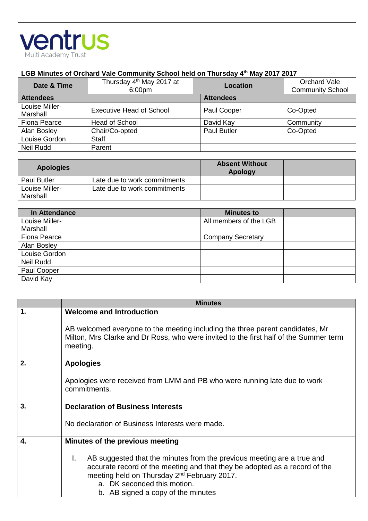

## **LGB Minutes of Orchard Vale Community School held on Thursday 4 th May 2017 2017**

| Date & Time                | Thursday 4 <sup>th</sup> May 2017 at<br>6:00pm | <b>Location</b>    | Orchard Vale<br><b>Community School</b> |
|----------------------------|------------------------------------------------|--------------------|-----------------------------------------|
| <b>Attendees</b>           |                                                | <b>Attendees</b>   |                                         |
| Louise Miller-<br>Marshall | <b>Executive Head of School</b>                | Paul Cooper        | Co-Opted                                |
| Fiona Pearce               | <b>Head of School</b>                          | David Kay          | Community                               |
| Alan Bosley                | Chair/Co-opted                                 | <b>Paul Butler</b> | Co-Opted                                |
| Louise Gordon              | <b>Staff</b>                                   |                    |                                         |
| Neil Rudd                  | Parent                                         |                    |                                         |

| <b>Apologies</b>   |                              | <b>Absent Without</b><br><b>Apology</b> |  |
|--------------------|------------------------------|-----------------------------------------|--|
| <b>Paul Butler</b> | Late due to work commitments |                                         |  |
| Louise Miller-     | Late due to work commitments |                                         |  |
| Marshall           |                              |                                         |  |

| In Attendance       | <b>Minutes to</b>        |  |
|---------------------|--------------------------|--|
| Louise Miller-      | All members of the LGB   |  |
| Marshall            |                          |  |
| <b>Fiona Pearce</b> | <b>Company Secretary</b> |  |
| Alan Bosley         |                          |  |
| Louise Gordon       |                          |  |
| <b>Neil Rudd</b>    |                          |  |
| Paul Cooper         |                          |  |
| David Kay           |                          |  |

|                | <b>Minutes</b>                                                                                                                                                                                                                                                                             |
|----------------|--------------------------------------------------------------------------------------------------------------------------------------------------------------------------------------------------------------------------------------------------------------------------------------------|
| $\mathbf{1}$ . | <b>Welcome and Introduction</b>                                                                                                                                                                                                                                                            |
|                | AB welcomed everyone to the meeting including the three parent candidates, Mr<br>Milton, Mrs Clarke and Dr Ross, who were invited to the first half of the Summer term<br>meeting.                                                                                                         |
| 2.             | <b>Apologies</b>                                                                                                                                                                                                                                                                           |
|                | Apologies were received from LMM and PB who were running late due to work<br>commitments.                                                                                                                                                                                                  |
| 3.             | <b>Declaration of Business Interests</b>                                                                                                                                                                                                                                                   |
|                | No declaration of Business Interests were made.                                                                                                                                                                                                                                            |
| 4.             | Minutes of the previous meeting                                                                                                                                                                                                                                                            |
|                | AB suggested that the minutes from the previous meeting are a true and<br>L.<br>accurate record of the meeting and that they be adopted as a record of the<br>meeting held on Thursday 2 <sup>nd</sup> February 2017.<br>a. DK seconded this motion.<br>b. AB signed a copy of the minutes |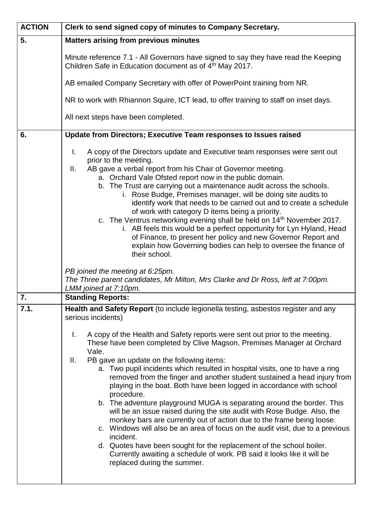| <b>ACTION</b> | Clerk to send signed copy of minutes to Company Secretary.                                                                                                                                                                                                                                                                                                                                                                                                                                                                                                                                                                                                                                                                                                                                                                                                                                                                                                                                                                                                                                            |
|---------------|-------------------------------------------------------------------------------------------------------------------------------------------------------------------------------------------------------------------------------------------------------------------------------------------------------------------------------------------------------------------------------------------------------------------------------------------------------------------------------------------------------------------------------------------------------------------------------------------------------------------------------------------------------------------------------------------------------------------------------------------------------------------------------------------------------------------------------------------------------------------------------------------------------------------------------------------------------------------------------------------------------------------------------------------------------------------------------------------------------|
| 5.            | <b>Matters arising from previous minutes</b>                                                                                                                                                                                                                                                                                                                                                                                                                                                                                                                                                                                                                                                                                                                                                                                                                                                                                                                                                                                                                                                          |
|               | Minute reference 7.1 - All Governors have signed to say they have read the Keeping<br>Children Safe in Education document as of 4 <sup>th</sup> May 2017.                                                                                                                                                                                                                                                                                                                                                                                                                                                                                                                                                                                                                                                                                                                                                                                                                                                                                                                                             |
|               | AB emailed Company Secretary with offer of PowerPoint training from NR.                                                                                                                                                                                                                                                                                                                                                                                                                                                                                                                                                                                                                                                                                                                                                                                                                                                                                                                                                                                                                               |
|               | NR to work with Rhiannon Squire, ICT lead, to offer training to staff on inset days.                                                                                                                                                                                                                                                                                                                                                                                                                                                                                                                                                                                                                                                                                                                                                                                                                                                                                                                                                                                                                  |
|               | All next steps have been completed.                                                                                                                                                                                                                                                                                                                                                                                                                                                                                                                                                                                                                                                                                                                                                                                                                                                                                                                                                                                                                                                                   |
| 6.            | Update from Directors; Executive Team responses to Issues raised                                                                                                                                                                                                                                                                                                                                                                                                                                                                                                                                                                                                                                                                                                                                                                                                                                                                                                                                                                                                                                      |
|               | I.<br>A copy of the Directors update and Executive team responses were sent out<br>prior to the meeting.<br>AB gave a verbal report from his Chair of Governor meeting.<br>Ⅱ.<br>a. Orchard Vale Ofsted report now in the public domain.<br>b. The Trust are carrying out a maintenance audit across the schools.<br>i. Rose Budge, Premises manager, will be doing site audits to<br>identify work that needs to be carried out and to create a schedule<br>of work with category D items being a priority.<br>c. The Ventrus networking evening shall be held on 14 <sup>th</sup> November 2017.<br>i. AB feels this would be a perfect opportunity for Lyn Hyland, Head<br>of Finance, to present her policy and new Governor Report and<br>explain how Governing bodies can help to oversee the finance of<br>their school.<br>PB joined the meeting at 6:25pm.<br>The Three parent candidates, Mr Milton, Mrs Clarke and Dr Ross, left at 7:00pm.<br>LMM joined at 7:10pm.                                                                                                                       |
| 7.            | <b>Standing Reports:</b>                                                                                                                                                                                                                                                                                                                                                                                                                                                                                                                                                                                                                                                                                                                                                                                                                                                                                                                                                                                                                                                                              |
| 7.1.          | Health and Safety Report (to include legionella testing, asbestos register and any<br>serious incidents)<br>A copy of the Health and Safety reports were sent out prior to the meeting.<br>L.<br>These have been completed by Clive Magson, Premises Manager at Orchard<br>Vale.<br>PB gave an update on the following items:<br>Ш.<br>a. Two pupil incidents which resulted in hospital visits, one to have a ring<br>removed from the finger and another student sustained a head injury from<br>playing in the boat. Both have been logged in accordance with school<br>procedure.<br>b. The adventure playground MUGA is separating around the border. This<br>will be an issue raised during the site audit with Rose Budge. Also, the<br>monkey bars are currently out of action due to the frame being loose.<br>c. Windows will also be an area of focus on the audit visit, due to a previous<br>incident.<br>d. Quotes have been sought for the replacement of the school boiler.<br>Currently awaiting a schedule of work. PB said it looks like it will be<br>replaced during the summer. |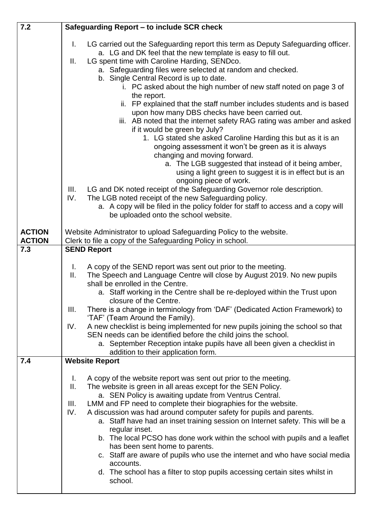| 7.2                            | Safeguarding Report - to include SCR check                                                                                                                                                                                                                                                                                                                                                                                                                                                                                                                                                                                                                                                                                                                                                                                                                                                                                                            |
|--------------------------------|-------------------------------------------------------------------------------------------------------------------------------------------------------------------------------------------------------------------------------------------------------------------------------------------------------------------------------------------------------------------------------------------------------------------------------------------------------------------------------------------------------------------------------------------------------------------------------------------------------------------------------------------------------------------------------------------------------------------------------------------------------------------------------------------------------------------------------------------------------------------------------------------------------------------------------------------------------|
|                                | LG carried out the Safeguarding report this term as Deputy Safeguarding officer.<br>L.<br>a. LG and DK feel that the new template is easy to fill out.<br>LG spent time with Caroline Harding, SENDco.<br>Ш.<br>a. Safeguarding files were selected at random and checked.<br>b. Single Central Record is up to date.<br>i. PC asked about the high number of new staff noted on page 3 of<br>the report.<br>ii. FP explained that the staff number includes students and is based<br>upon how many DBS checks have been carried out.<br>iii. AB noted that the internet safety RAG rating was amber and asked<br>if it would be green by July?<br>1. LG stated she asked Caroline Harding this but as it is an<br>ongoing assessment it won't be green as it is always<br>changing and moving forward.<br>a. The LGB suggested that instead of it being amber,<br>using a light green to suggest it is in effect but is an<br>ongoing piece of work. |
|                                | LG and DK noted receipt of the Safeguarding Governor role description.<br>III.<br>IV.<br>The LGB noted receipt of the new Safeguarding policy.<br>a. A copy will be filed in the policy folder for staff to access and a copy will<br>be uploaded onto the school website.                                                                                                                                                                                                                                                                                                                                                                                                                                                                                                                                                                                                                                                                            |
| <b>ACTION</b><br><b>ACTION</b> | Website Administrator to upload Safeguarding Policy to the website.<br>Clerk to file a copy of the Safeguarding Policy in school.                                                                                                                                                                                                                                                                                                                                                                                                                                                                                                                                                                                                                                                                                                                                                                                                                     |
| 7.3                            | <b>SEND Report</b>                                                                                                                                                                                                                                                                                                                                                                                                                                                                                                                                                                                                                                                                                                                                                                                                                                                                                                                                    |
|                                | A copy of the SEND report was sent out prior to the meeting.<br>L.<br>The Speech and Language Centre will close by August 2019. No new pupils<br>Ш.<br>shall be enrolled in the Centre.<br>a. Staff working in the Centre shall be re-deployed within the Trust upon<br>closure of the Centre.<br>III.<br>There is a change in terminology from 'DAF' (Dedicated Action Framework) to<br>'TAF' (Team Around the Family).<br>A new checklist is being implemented for new pupils joining the school so that<br>IV.<br>SEN needs can be identified before the child joins the school.<br>a. September Reception intake pupils have all been given a checklist in<br>addition to their application form.                                                                                                                                                                                                                                                 |
| 7.4                            | <b>Website Report</b>                                                                                                                                                                                                                                                                                                                                                                                                                                                                                                                                                                                                                                                                                                                                                                                                                                                                                                                                 |
|                                | A copy of the website report was sent out prior to the meeting.<br>L.<br>$\mathbf{II}$ .<br>The website is green in all areas except for the SEN Policy.<br>a. SEN Policy is awaiting update from Ventrus Central.<br>LMM and FP need to complete their biographies for the website.<br>III.<br>IV.<br>A discussion was had around computer safety for pupils and parents.<br>a. Staff have had an inset training session on Internet safety. This will be a<br>regular inset.<br>b. The local PCSO has done work within the school with pupils and a leaflet<br>has been sent home to parents.<br>c. Staff are aware of pupils who use the internet and who have social media<br>accounts.<br>d. The school has a filter to stop pupils accessing certain sites whilst in<br>school.                                                                                                                                                                 |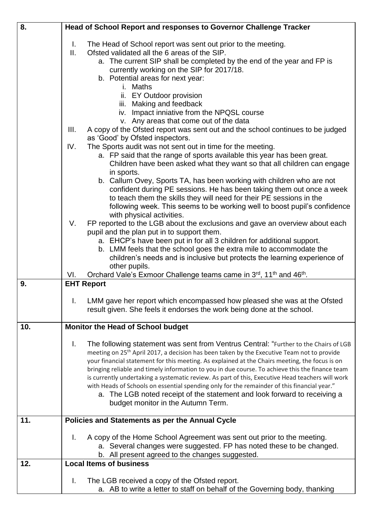| 8.  | Head of School Report and responses to Governor Challenge Tracker                                                         |
|-----|---------------------------------------------------------------------------------------------------------------------------|
|     |                                                                                                                           |
|     | I.<br>The Head of School report was sent out prior to the meeting.<br>ΙΙ.<br>Ofsted validated all the 6 areas of the SIP. |
|     |                                                                                                                           |
|     | a. The current SIP shall be completed by the end of the year and FP is<br>currently working on the SIP for 2017/18.       |
|     | b. Potential areas for next year:                                                                                         |
|     | i. Maths                                                                                                                  |
|     | ii. EY Outdoor provision                                                                                                  |
|     | iii. Making and feedback                                                                                                  |
|     | iv. Impact inniative from the NPQSL course                                                                                |
|     | v. Any areas that come out of the data                                                                                    |
|     | III.<br>A copy of the Ofsted report was sent out and the school continues to be judged                                    |
|     | as 'Good' by Ofsted inspectors.                                                                                           |
|     | IV.<br>The Sports audit was not sent out in time for the meeting.                                                         |
|     | a. FP said that the range of sports available this year has been great.                                                   |
|     | Children have been asked what they want so that all children can engage<br>in sports.                                     |
|     | b. Callum Ovey, Sports TA, has been working with children who are not                                                     |
|     | confident during PE sessions. He has been taking them out once a week                                                     |
|     | to teach them the skills they will need for their PE sessions in the                                                      |
|     | following week. This seems to be working well to boost pupil's confidence                                                 |
|     | with physical activities.                                                                                                 |
|     | FP reported to the LGB about the exclusions and gave an overview about each<br>V.                                         |
|     | pupil and the plan put in to support them.                                                                                |
|     | a. EHCP's have been put in for all 3 children for additional support.                                                     |
|     | b. LMM feels that the school goes the extra mile to accommodate the                                                       |
|     | children's needs and is inclusive but protects the learning experience of<br>other pupils.                                |
|     | Orchard Vale's Exmoor Challenge teams came in 3rd, 11 <sup>th</sup> and 46 <sup>th</sup> .<br>VI.                         |
| 9.  | <b>EHT Report</b>                                                                                                         |
|     |                                                                                                                           |
|     | LMM gave her report which encompassed how pleased she was at the Ofsted<br>L.                                             |
|     | result given. She feels it endorses the work being done at the school.                                                    |
|     |                                                                                                                           |
| 10. | <b>Monitor the Head of School budget</b>                                                                                  |
|     | I.<br>The following statement was sent from Ventrus Central: "Further to the Chairs of LGB                                |
|     | meeting on 25 <sup>th</sup> April 2017, a decision has been taken by the Executive Team not to provide                    |
|     | your financial statement for this meeting. As explained at the Chairs meeting, the focus is on                            |
|     | bringing reliable and timely information to you in due course. To achieve this the finance team                           |
|     | is currently undertaking a systematic review. As part of this, Executive Head teachers will work                          |
|     | with Heads of Schools on essential spending only for the remainder of this financial year."                               |
|     | a. The LGB noted receipt of the statement and look forward to receiving a                                                 |
|     | budget monitor in the Autumn Term.                                                                                        |
| 11. | Policies and Statements as per the Annual Cycle                                                                           |
|     |                                                                                                                           |
|     | Ι.<br>A copy of the Home School Agreement was sent out prior to the meeting.                                              |
|     | a. Several changes were suggested. FP has noted these to be changed.                                                      |
|     | b. All present agreed to the changes suggested.                                                                           |
| 12. | <b>Local Items of business</b>                                                                                            |
|     | The LGB received a copy of the Ofsted report.<br>I.                                                                       |
|     | a. AB to write a letter to staff on behalf of the Governing body, thanking                                                |